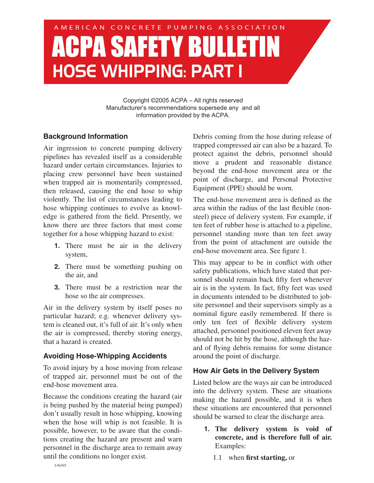# AMERICAN CONCRETE PUMPING ASSOCIATION **ACPA SAFETY BULLET HOSE WHIPPING: PART I**

Copyright ©2005 ACPA – All rights reserved Manufacturer's recommendations supersede any and all information provided by the ACPA.

### **Background Information**

Air ingression to concrete pumping delivery pipelines has revealed itself as a considerable hazard under certain circumstances. Injuries to placing crew personnel have been sustained when trapped air is momentarily compressed, then released, causing the end hose to whip violently. The list of circumstances leading to hose whipping continues to evolve as knowledge is gathered from the field. Presently, we know there are three factors that must come together for a hose whipping hazard to exist:

- **1.** There must be air in the delivery system,
- **2.** There must be something pushing on the air, and
- **3.** There must be a restriction near the hose so the air compresses.

Air in the delivery system by itself poses no particular hazard; e.g. whenever delivery system is cleaned out, it's full of air. It's only when the air is compressed, thereby storing energy, that a hazard is created.

# **Avoiding Hose-Whipping Accidents**

To avoid injury by a hose moving from release of trapped air, personnel must be out of the end-hose movement area.

Because the conditions creating the hazard (air is being pushed by the material being pumped) don't usually result in hose whipping, knowing when the hose will whip is not feasible. It is possible, however, to be aware that the conditions creating the hazard are present and warn personnel in the discharge area to remain away until the conditions no longer exist.

Debris coming from the hose during release of trapped compressed air can also be a hazard. To protect against the debris, personnel should move a prudent and reasonable distance beyond the end-hose movement area or the point of discharge, and Personal Protective Equipment (PPE) should be worn.

The end-hose movement area is defined as the area within the radius of the last flexible (nonsteel) piece of delivery system. For example, if ten feet of rubber hose is attached to a pipeline, personnel standing more than ten feet away from the point of attachment are outside the end-hose movement area. See figure 1.

This may appear to be in conflict with other safety publications, which have stated that personnel should remain back fifty feet whenever air is in the system. In fact, fifty feet was used in documents intended to be distributed to jobsite personnel and their supervisors simply as a nominal figure easily remembered. If there is only ten feet of flexible delivery system attached, personnel positioned eleven feet away should not be hit by the hose, although the hazard of flying debris remains for some distance around the point of discharge.

# **How Air Gets in the Delivery System**

Listed below are the ways air can be introduced into the delivery system. These are situations making the hazard possible, and it is when these situations are encountered that personnel should be warned to clear the discharge area.

- **1. The delivery system is void of concrete, and is therefore full of air.** Examples:
	- 1.1 when **first starting,** or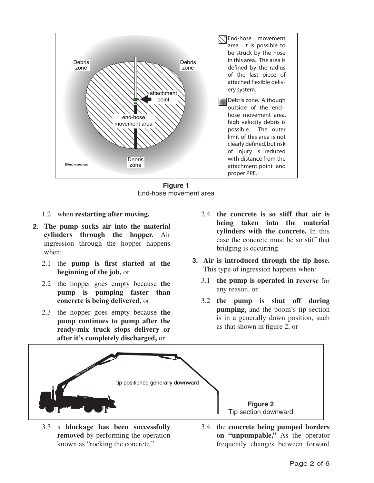

**Figure 1** End-hose movement area

- 1.2 when **restarting after moving.**
- **2. The pump sucks air into the material cylinders through the hopper.** Air ingression through the hopper happens when:
	- 2.1 the **pump is first started at the beginning of the job,** or
	- 2.2 the hopper goes empty because **the pump is pumping faster than concrete is being delivered,** or
	- 2.3 the hopper goes empty because **the pump continues to pump after the ready-mix truck stops delivery or after it's completely discharged,** or
- 2.4 **the concrete is so stiff that air is being taken into the material cylinders with the concrete.** In this case the concrete must be so stiff that bridging is occurring.
- **3. Air is introduced through the tip hose.** This type of ingression happens when:
	- 3.1 **the pump is operated in reverse** for any reason, or
	- 3.2 **the pump is shut off during pumping**, and the boom's tip section is in a generally down position, such as that shown in figure 2, or



- 3.3 a **blockage has been successfully removed** by performing the operation known as "rocking the concrete."
- 3.4 the **concrete being pumped borders on "unpumpable,"** As the operator frequently changes between forward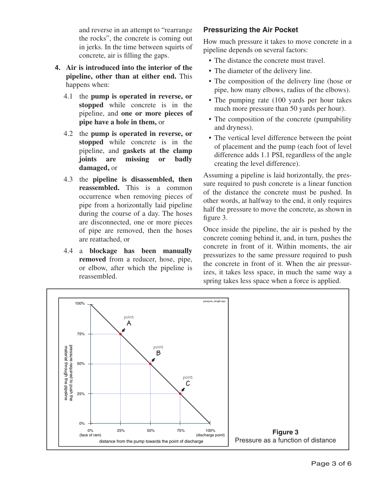and reverse in an attempt to "rearrange the rocks", the concrete is coming out in jerks. In the time between squirts of concrete, air is filling the gaps.

- **4. Air is introduced into the interior of the pipeline, other than at either end.** This happens when:
	- 4.1 the **pump is operated in reverse, or stopped** while concrete is in the pipeline, and **one or more pieces of pipe have a hole in them,** or
	- 4.2 the **pump is operated in reverse, or stopped** while concrete is in the pipeline, and **gaskets at the clamp joints are missing or badly damaged,** or
	- 4.3 the **pipeline is disassembled, then reassembled.** This is a common occurrence when removing pieces of pipe from a horizontally laid pipeline during the course of a day. The hoses are disconnected, one or more pieces of pipe are removed, then the hoses are reattached, or
	- 4.4 a **blockage has been manually removed** from a reducer, hose, pipe, or elbow, after which the pipeline is reassembled.

# **Pressurizing the Air Pocket**

How much pressure it takes to move concrete in a pipeline depends on several factors:

- The distance the concrete must travel.
- The diameter of the delivery line.
- The composition of the delivery line (hose or pipe, how many elbows, radius of the elbows).
- The pumping rate (100 yards per hour takes) much more pressure than 50 yards per hour).
- The composition of the concrete (pumpability) and dryness).
- The vertical level difference between the point of placement and the pump (each foot of level difference adds 1.1 PSI, regardless of the angle creating the level difference).

Assuming a pipeline is laid horizontally, the pressure required to push concrete is a linear function of the distance the concrete must be pushed. In other words, at halfway to the end, it only requires half the pressure to move the concrete, as shown in figure 3.

Once inside the pipeline, the air is pushed by the concrete coming behind it, and, in turn, pushes the concrete in front of it. Within moments, the air pressurizes to the same pressure required to push the concrete in front of it. When the air pressurizes, it takes less space, in much the same way a spring takes less space when a force is applied.

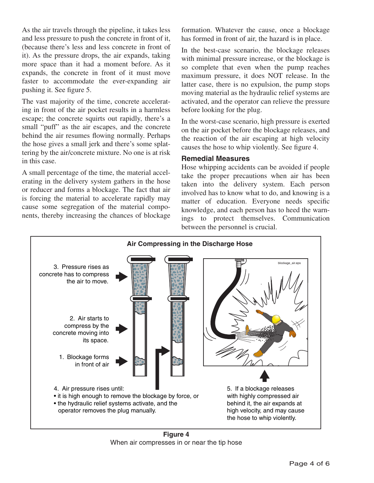As the air travels through the pipeline, it takes less and less pressure to push the concrete in front of it, (because there's less and less concrete in front of it). As the pressure drops, the air expands, taking more space than it had a moment before. As it expands, the concrete in front of it must move faster to accommodate the ever-expanding air pushing it. See figure 5.

The vast majority of the time, concrete accelerating in front of the air pocket results in a harmless escape; the concrete squirts out rapidly, there's a small "puff" as the air escapes, and the concrete behind the air resumes flowing normally. Perhaps the hose gives a small jerk and there's some splattering by the air/concrete mixture. No one is at risk in this case.

A small percentage of the time, the material accelerating in the delivery system gathers in the hose or reducer and forms a blockage. The fact that air is forcing the material to accelerate rapidly may cause some segregation of the material components, thereby increasing the chances of blockage

formation. Whatever the cause, once a blockage has formed in front of air, the hazard is in place.

In the best-case scenario, the blockage releases with minimal pressure increase, or the blockage is so complete that even when the pump reaches maximum pressure, it does NOT release. In the latter case, there is no expulsion, the pump stops moving material as the hydraulic relief systems are activated, and the operator can relieve the pressure before looking for the plug.

In the worst-case scenario, high pressure is exerted on the air pocket before the blockage releases, and the reaction of the air escaping at high velocity causes the hose to whip violently. See figure 4.

#### **Remedial Measures**

Hose whipping accidents can be avoided if people take the proper precautions when air has been taken into the delivery system. Each person involved has to know what to do, and knowing is a matter of education. Everyone needs specific knowledge, and each person has to heed the warnings to protect themselves. Communication between the personnel is crucial.



**Figure 4** When air compresses in or near the tip hose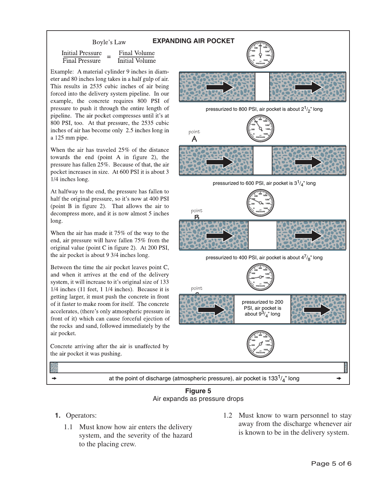#### **EXPANDING AIR POCKET**

**Initial Pressure** Final Volume **Final Pressure Initial Volume** 

Example: A material cylinder 9 inches in diameter and 80 inches long takes in a half gulp of air. This results in 2535 cubic inches of air being forced into the delivery system pipeline. In our example, the concrete requires 800 PSI of pressure to push it through the entire length of pipeline. The air pocket compresses until it's at 800 PSI, too. At that pressure, the 2535 cubic inches of air has become only 2.5 inches long in a 125 mm pipe.

Boyle's Law

When the air has traveled 25% of the distance towards the end (point A in figure 2), the pressure has fallen 25%. Because of that, the air pocket increases in size. At 600 PSI it is about 3 1/4 inches long.

At halfway to the end, the pressure has fallen to half the original pressure, so it's now at 400 PSI (point B in figure 2). That allows the air to decompress more, and it is now almost 5 inches long.

When the air has made it 75% of the way to the end, air pressure will have fallen 75% from the original value (point C in figure 2). At 200 PSI, the air pocket is about 9 3/4 inches long.

Between the time the air pocket leaves point C, and when it arrives at the end of the delivery system, it will increase to it's original size of 133  $1/4$  inches (11 feet, 1  $1/4$  inches). Because it is getting larger, it must push the concrete in front of it faster to make room for itself. The concrete accelerates, (there's only atmospheric pressure in front of it) which can cause forceful ejection of the rocks and sand, followed immediately by the air pocket.

Concrete arriving after the air is unaffected by the air pocket it was pushing.



at the point of discharge (atmospheric pressure), air pocket is 133 $\frac{1}{4}$ " long

#### **Figure 5** Air expands as pressure drops

- **1.** Operators:
	- 1.1 Must know how air enters the delivery system, and the severity of the hazard to the placing crew.
- 1.2 Must know to warn personnel to stay away from the discharge whenever air is known to be in the delivery system.